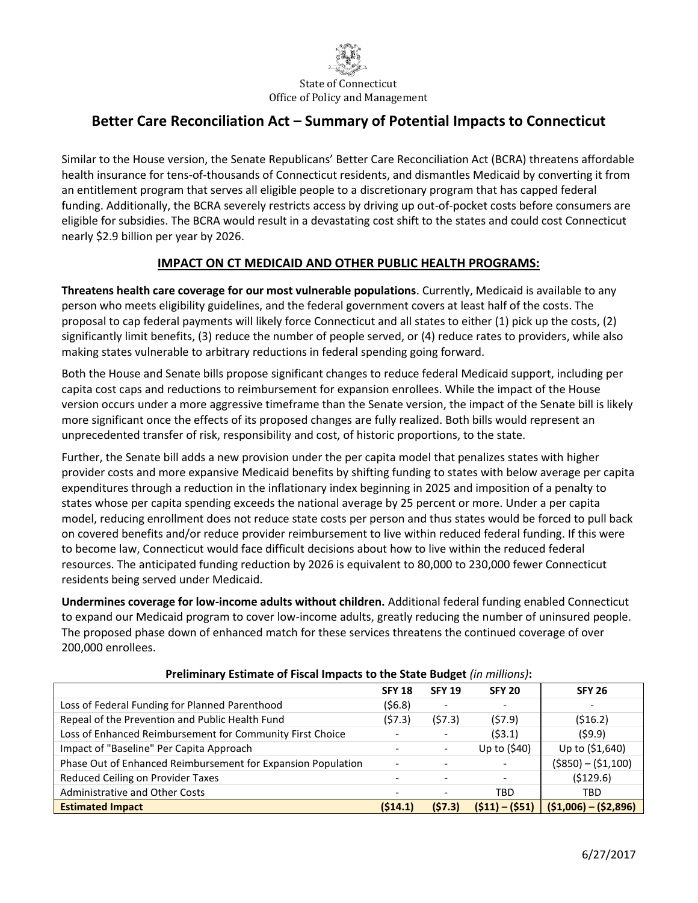

# **Better Care Reconciliation Act – Summary of Potential Impacts to Connecticut**

Similar to the House version, the Senate Republicans' Better Care Reconciliation Act (BCRA) threatens affordable health insurance for tens-of-thousands of Connecticut residents, and dismantles Medicaid by converting it from an entitlement program that serves all eligible people to a discretionary program that has capped federal funding. Additionally, the BCRA severely restricts access by driving up out-of-pocket costs before consumers are eligible for subsidies. The BCRA would result in a devastating cost shift to the states and could cost Connecticut nearly \$2.9 billion per year by 2026.

### **IMPACT ON CT MEDICAID AND OTHER PUBLIC HEALTH PROGRAMS:**

**Threatens health care coverage for our most vulnerable populations**. Currently, Medicaid is available to any person who meets eligibility guidelines, and the federal government covers at least half of the costs. The proposal to cap federal payments will likely force Connecticut and all states to either (1) pick up the costs, (2) significantly limit benefits, (3) reduce the number of people served, or (4) reduce rates to providers, while also making states vulnerable to arbitrary reductions in federal spending going forward.

Both the House and Senate bills propose significant changes to reduce federal Medicaid support, including per capita cost caps and reductions to reimbursement for expansion enrollees. While the impact of the House version occurs under a more aggressive timeframe than the Senate version, the impact of the Senate bill is likely more significant once the effects of its proposed changes are fully realized. Both bills would represent an unprecedented transfer of risk, responsibility and cost, of historic proportions, to the state.

Further, the Senate bill adds a new provision under the per capita model that penalizes states with higher provider costs and more expansive Medicaid benefits by shifting funding to states with below average per capita expenditures through a reduction in the inflationary index beginning in 2025 and imposition of a penalty to states whose per capita spending exceeds the national average by 25 percent or more. Under a per capita model, reducing enrollment does not reduce state costs per person and thus states would be forced to pull back on covered benefits and/or reduce provider reimbursement to live within reduced federal funding. If this were to become law, Connecticut would face difficult decisions about how to live within the reduced federal resources. The anticipated funding reduction by 2026 is equivalent to 80,000 to 230,000 fewer Connecticut residents being served under Medicaid.

**Undermines coverage for low-income adults without children.** Additional federal funding enabled Connecticut to expand our Medicaid program to cover low-income adults, greatly reducing the number of uninsured people. The proposed phase down of enhanced match for these services threatens the continued coverage of over 200,000 enrollees.

|                                                              | <b>SFY 18</b> | <b>SFY 19</b>                | <b>SFY 20</b>   | <b>SFY 26</b>             |
|--------------------------------------------------------------|---------------|------------------------------|-----------------|---------------------------|
| Loss of Federal Funding for Planned Parenthood               | (56.8)        | -                            |                 | -                         |
| Repeal of the Prevention and Public Health Fund              | (57.3)        | (57.3)                       | (57.9)          | (516.2)                   |
| Loss of Enhanced Reimbursement for Community First Choice    |               |                              | (53.1)          | (59.9)                    |
| Impact of "Baseline" Per Capita Approach                     |               | $\qquad \qquad \blacksquare$ | Up to (\$40)    | Up to (\$1,640)           |
| Phase Out of Enhanced Reimbursement for Expansion Population |               |                              |                 | $($ \$850) – $($ \$1,100) |
| Reduced Ceiling on Provider Taxes                            |               |                              |                 | (\$129.6)                 |
| <b>Administrative and Other Costs</b>                        |               | $\overline{\phantom{0}}$     | TBD             | TBD                       |
| <b>Estimated Impact</b>                                      | (514.1)       | (57.3)                       | $(511) - (551)$ | $(51,006) - (52,896)$     |

#### **Preliminary Estimate of Fiscal Impacts to the State Budget** *(in millions)***:**